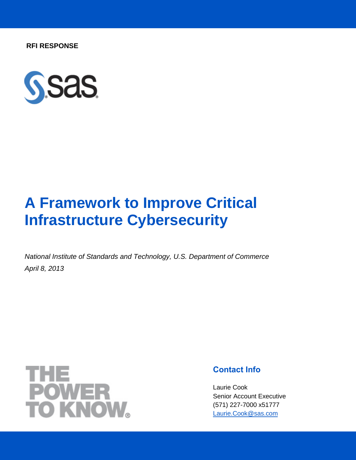**RFI RESPONSE**



## **A Framework to Improve Critical Infrastructure Cybersecurity**

*National Institute of Standards and Technology, U.S. Department of Commerce April 8, 2013*



## **Contact Info**

Laurie Cook Senior Account Executive (571) 227-7000 x51777 [Laurie.Cook@sas.com](mailto:Laurie.Cook@sas.com)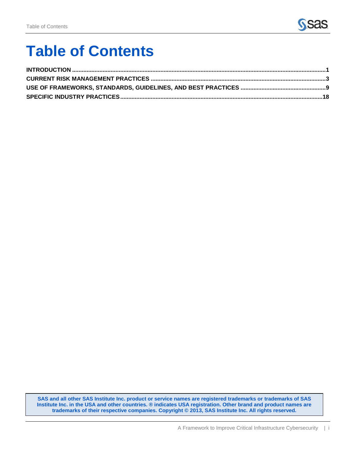

# **Table of Contents**

**SAS and all other SAS Institute Inc. product or service names are registered trademarks or trademarks of SAS Institute Inc. in the USA and other countries. ® indicates USA registration. Other brand and product names are trademarks of their respective companies. Copyright © 2013, SAS Institute Inc. All rights reserved.**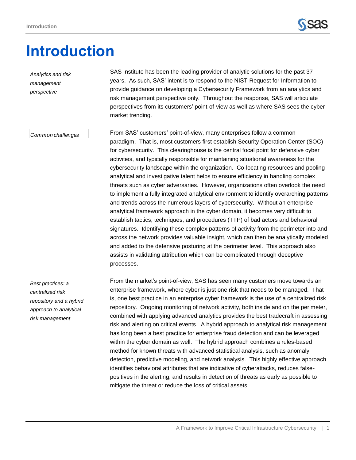*Analytics and risk* 



## <span id="page-2-0"></span>**Introduction**

years. As such, SAS' intent is to respond to the NIST Request for Information to provide guidance on developing a Cybersecurity Framework from an analytics and risk management perspective only. Throughout the response, SAS will articulate perspectives from its customers' point-of-view as well as where SAS sees the cyber market trending. From SAS' customers' point-of-view, many enterprises follow a common paradigm. That is, most customers first establish Security Operation Center (SOC) for cybersecurity. This clearinghouse is the central focal point for defensive cyber activities, and typically responsible for maintaining situational awareness for the cybersecurity landscape within the organization. Co-locating resources and pooling analytical and investigative talent helps to ensure efficiency in handling complex threats such as cyber adversaries. However, organizations often overlook the need to implement a fully integrated analytical environment to identify overarching patterns and trends across the numerous layers of cybersecurity. Without an enterprise analytical framework approach in the cyber domain, it becomes very difficult to establish tactics, techniques, and procedures (TTP) of bad actors and behavioral signatures. Identifying these complex patterns of activity from the perimeter into and across the network provides valuable insight, which can then be analytically modeled and added to the defensive posturing at the perimeter level. This approach also assists in validating attribution which can be complicated through deceptive *management perspective Common challenges Common challenges*

SAS Institute has been the leading provider of analytic solutions for the past 37

*Best practices: a centralized risk repository and a hybrid approach to analytical risk management*

processes.

From the market's point-of-view, SAS has seen many customers move towards an enterprise framework, where cyber is just one risk that needs to be managed. That is, one best practice in an enterprise cyber framework is the use of a centralized risk repository. Ongoing monitoring of network activity, both inside and on the perimeter, combined with applying advanced analytics provides the best tradecraft in assessing risk and alerting on critical events. A hybrid approach to analytical risk management has long been a best practice for enterprise fraud detection and can be leveraged within the cyber domain as well. The hybrid approach combines a rules-based method for known threats with advanced statistical analysis, such as anomaly detection, predictive modeling, and network analysis. This highly effective approach identifies behavioral attributes that are indicative of cyberattacks, reduces falsepositives in the alerting, and results in detection of threats as early as possible to mitigate the threat or reduce the loss of critical assets.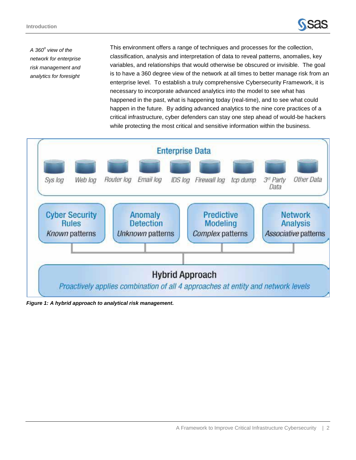

*A 360<sup>o</sup> view of the network for enterprise risk management and analytics for foresight*

This environment offers a range of techniques and processes for the collection, classification, analysis and interpretation of data to reveal patterns, anomalies, key variables, and relationships that would otherwise be obscured or invisible. The goal is to have a 360 degree view of the network at all times to better manage risk from an enterprise level. To establish a truly comprehensive Cybersecurity Framework, it is necessary to incorporate advanced analytics into the model to see what has happened in the past, what is happening today (real-time), and to see what could happen in the future. By adding advanced analytics to the nine core practices of a critical infrastructure, cyber defenders can stay one step ahead of would-be hackers while protecting the most critical and sensitive information within the business.



*Figure 1: A hybrid approach to analytical risk management.*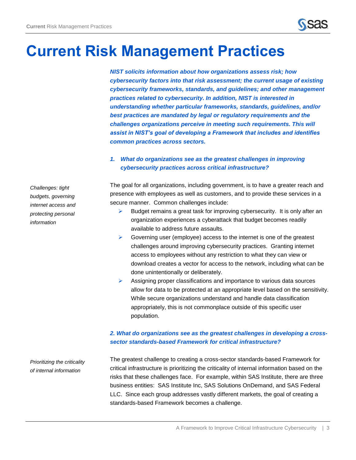## <span id="page-4-0"></span>**Current Risk Management Practices**

*NIST solicits information about how organizations assess risk; how cybersecurity factors into that risk assessment; the current usage of existing cybersecurity frameworks, standards, and guidelines; and other management practices related to cybersecurity. In addition, NIST is interested in understanding whether particular frameworks, standards, guidelines, and/or best practices are mandated by legal or regulatory requirements and the challenges organizations perceive in meeting such requirements. This will assist in NIST's goal of developing a Framework that includes and identifies common practices across sectors.*

## *1. What do organizations see as the greatest challenges in improving cybersecurity practices across critical infrastructure?*

The goal for all organizations, including government, is to have a greater reach and presence with employees as well as customers, and to provide these services in a secure manner. Common challenges include:

- $\triangleright$  Budget remains a great task for improving cybersecurity. It is only after an organization experiences a cyberattack that budget becomes readily available to address future assaults.
- $\triangleright$  Governing user (employee) access to the internet is one of the greatest challenges around improving cybersecurity practices. Granting internet access to employees without any restriction to what they can view or download creates a vector for access to the network, including what can be done unintentionally or deliberately.
- Assigning proper classifications and importance to various data sources allow for data to be protected at an appropriate level based on the sensitivity. While secure organizations understand and handle data classification appropriately, this is not commonplace outside of this specific user population.

## *2. What do organizations see as the greatest challenges in developing a crosssector standards-based Framework for critical infrastructure?*

The greatest challenge to creating a cross-sector standards-based Framework for critical infrastructure is prioritizing the criticality of internal information based on the risks that these challenges face. For example, within SAS Institute, there are three business entities: SAS Institute Inc, SAS Solutions OnDemand, and SAS Federal LLC. Since each group addresses vastly different markets, the goal of creating a standards-based Framework becomes a challenge.

*Challenges: tight budgets, governing internet access and protecting personal information* 

*Prioritizing the criticality of internal information*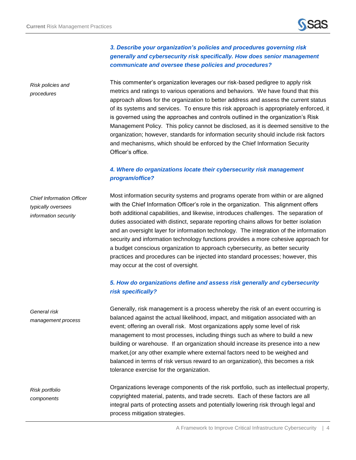## *3. Describe your organization's policies and procedures governing risk generally and cybersecurity risk specifically. How does senior management communicate and oversee these policies and procedures?*

This commenter's organization leverages our risk-based pedigree to apply risk metrics and ratings to various operations and behaviors. We have found that this approach allows for the organization to better address and assess the current status of its systems and services. To ensure this risk approach is appropriately enforced, it is governed using the approaches and controls outlined in the organization's Risk Management Policy. This policy cannot be disclosed, as it is deemed sensitive to the organization; however, standards for information security should include risk factors and mechanisms, which should be enforced by the Chief Information Security Officer's office.

## *4. Where do organizations locate their cybersecurity risk management program/office?*

Most information security systems and programs operate from within or are aligned with the Chief Information Officer's role in the organization. This alignment offers both additional capabilities, and likewise, introduces challenges. The separation of duties associated with distinct, separate reporting chains allows for better isolation and an oversight layer for information technology. The integration of the information security and information technology functions provides a more cohesive approach for a budget conscious organization to approach cybersecurity, as better security practices and procedures can be injected into standard processes; however, this may occur at the cost of oversight. *Chief Information Officer typically oversees information security*

## *5. How do organizations define and assess risk generally and cybersecurity risk specifically?*

Generally, risk management is a process whereby the risk of an event occurring is balanced against the actual likelihood, impact, and mitigation associated with an event; offering an overall risk. Most organizations apply some level of risk management to most processes, including things such as where to build a new building or warehouse. If an organization should increase its presence into a new market,(or any other example where external factors need to be weighed and balanced in terms of risk versus reward to an organization), this becomes a risk tolerance exercise for the organization.

Organizations leverage components of the risk portfolio, such as intellectual property, copyrighted material, patents, and trade secrets. Each of these factors are all integral parts of protecting assets and potentially lowering risk through legal and process mitigation strategies. *Risk portfolio components*

*Risk policies and procedures*

*General risk management process*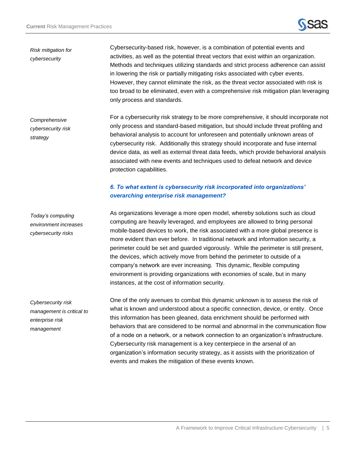

*Risk mitigation for cybersecurity*

Cybersecurity-based risk, however, is a combination of potential events and activities, as well as the potential threat vectors that exist within an organization. Methods and techniques utilizing standards and strict process adherence can assist in lowering the risk or partially mitigating risks associated with cyber events. However, they cannot eliminate the risk, as the threat vector associated with risk is too broad to be eliminated, even with a comprehensive risk mitigation plan leveraging only process and standards.

For a cybersecurity risk strategy to be more comprehensive, it should incorporate not only process and standard-based mitigation, but should include threat profiling and behavioral analysis to account for unforeseen and potentially unknown areas of cybersecurity risk. Additionally this strategy should incorporate and fuse internal device data, as well as external threat data feeds, which provide behavioral analysis associated with new events and techniques used to defeat network and device protection capabilities. *Comprehensive cybersecurity risk strategy*

## *6. To what extent is cybersecurity risk incorporated into organizations' overarching enterprise risk management?*

*Today's computing environment increases cybersecurity risks*

As organizations leverage a more open model, whereby solutions such as cloud computing are heavily leveraged, and employees are allowed to bring personal mobile-based devices to work, the risk associated with a more global presence is more evident than ever before. In traditional network and information security, a perimeter could be set and guarded vigorously. While the perimeter is still present, the devices, which actively move from behind the perimeter to outside of a company's network are ever increasing. This dynamic, flexible computing environment is providing organizations with economies of scale, but in many instances, at the cost of information security.

*Cybersecurity risk management is critical to enterprise risk management*

One of the only avenues to combat this dynamic unknown is to assess the risk of what is known and understood about a specific connection, device, or entity. Once this information has been gleaned, data enrichment should be performed with behaviors that are considered to be normal and abnormal in the communication flow of a node on a network, or a network connection to an organization's infrastructure. Cybersecurity risk management is a key centerpiece in the arsenal of an organization's information security strategy, as it assists with the prioritization of events and makes the mitigation of these events known.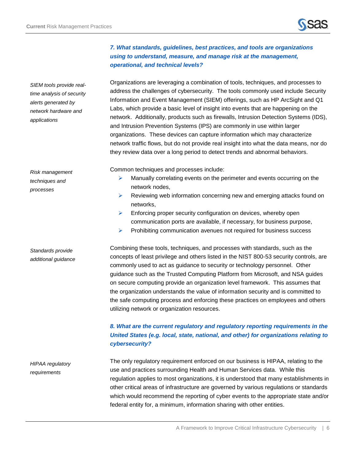*SIEM tools provide realtime analysis of security alerts generated by network hardware and* 



## *7. What standards, guidelines, best practices, and tools are organizations using to understand, measure, and manage risk at the management, operational, and technical levels?*

Organizations are leveraging a combination of tools, techniques, and processes to address the challenges of cybersecurity. The tools commonly used include Security Information and Event Management (SIEM) offerings, such as HP ArcSight and Q1 Labs, which provide a basic level of insight into events that are happening on the network. Additionally, products such as firewalls, Intrusion Detection Systems (IDS), and Intrusion Prevention Systems (IPS) are commonly in use within larger organizations. These devices can capture information which may characterize network traffic flows, but do not provide real insight into what the data means, nor do they review data over a long period to detect trends and abnormal behaviors.

Common techniques and processes include:

- $\triangleright$  Manually correlating events on the perimeter and events occurring on the network nodes,
- $\triangleright$  Reviewing web information concerning new and emerging attacks found on networks,
- $\triangleright$  Enforcing proper security configuration on devices, whereby open communication ports are available, if necessary, for business purpose,
- $\triangleright$  Prohibiting communication avenues not required for business success

Combining these tools, techniques, and processes with standards, such as the concepts of least privilege and others listed in the NIST 800-53 security controls, are commonly used to act as guidance to security or technology personnel. Other guidance such as the Trusted Computing Platform from Microsoft, and NSA guides on secure computing provide an organization level framework. This assumes that the organization understands the value of information security and is committed to the safe computing process and enforcing these practices on employees and others utilizing network or organization resources.

## *8. What are the current regulatory and regulatory reporting requirements in the United States (e.g. local, state, national, and other) for organizations relating to cybersecurity?*

The only regulatory requirement enforced on our business is HIPAA, relating to the use and practices surrounding Health and Human Services data. While this regulation applies to most organizations, it is understood that many establishments in other critical areas of infrastructure are governed by various regulations or standards which would recommend the reporting of cyber events to the appropriate state and/or federal entity for, a minimum, information sharing with other entities. *HIPAA regulatory requirements*

*Risk management techniques and processes*

*applications*

*Standards provide additional guidance*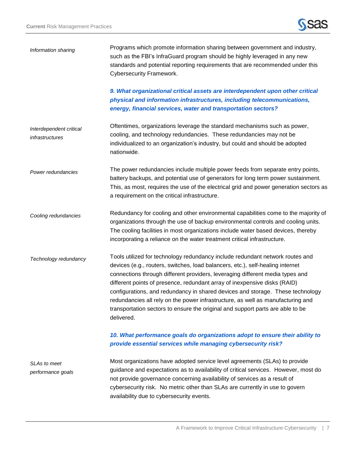

| Information sharing                        | Programs which promote information sharing between government and industry,<br>such as the FBI's InfraGuard program should be highly leveraged in any new<br>standards and potential reporting requirements that are recommended under this<br>Cybersecurity Framework.                                                                                                                                                                                                                                                                                                                            |
|--------------------------------------------|----------------------------------------------------------------------------------------------------------------------------------------------------------------------------------------------------------------------------------------------------------------------------------------------------------------------------------------------------------------------------------------------------------------------------------------------------------------------------------------------------------------------------------------------------------------------------------------------------|
|                                            | 9. What organizational critical assets are interdependent upon other critical<br>physical and information infrastructures, including telecommunications,<br>energy, financial services, water and transportation sectors?                                                                                                                                                                                                                                                                                                                                                                          |
| Interdependent critical<br>infrastructures | Oftentimes, organizations leverage the standard mechanisms such as power,<br>cooling, and technology redundancies. These redundancies may not be<br>individualized to an organization's industry, but could and should be adopted<br>nationwide.                                                                                                                                                                                                                                                                                                                                                   |
| Power redundancies                         | The power redundancies include multiple power feeds from separate entry points,<br>battery backups, and potential use of generators for long term power sustainment.<br>This, as most, requires the use of the electrical grid and power generation sectors as<br>a requirement on the critical infrastructure.                                                                                                                                                                                                                                                                                    |
| Cooling redundancies                       | Redundancy for cooling and other environmental capabilities come to the majority of<br>organizations through the use of backup environmental controls and cooling units.<br>The cooling facilities in most organizations include water based devices, thereby<br>incorporating a reliance on the water treatment critical infrastructure.                                                                                                                                                                                                                                                          |
| Technology redundancy                      | Tools utilized for technology redundancy include redundant network routes and<br>devices (e.g., routers, switches, load balancers, etc.), self-healing internet<br>connections through different providers, leveraging different media types and<br>different points of presence, redundant array of inexpensive disks (RAID)<br>configurations, and redundancy in shared devices and storage. These technology<br>redundancies all rely on the power infrastructure, as well as manufacturing and<br>transportation sectors to ensure the original and support parts are able to be<br>delivered. |
|                                            | 10. What performance goals do organizations adopt to ensure their ability to<br>provide essential services while managing cybersecurity risk?                                                                                                                                                                                                                                                                                                                                                                                                                                                      |
| <b>SLAs to meet</b><br>performance goals   | Most organizations have adopted service level agreements (SLAs) to provide<br>guidance and expectations as to availability of critical services. However, most do<br>not provide governance concerning availability of services as a result of<br>cybersecurity risk. No metric other than SLAs are currently in use to govern<br>availability due to cybersecurity events.                                                                                                                                                                                                                        |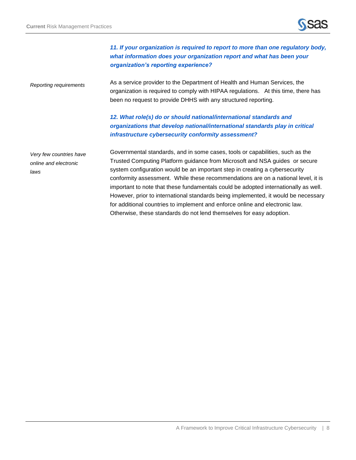

## *11. If your organization is required to report to more than one regulatory body, what information does your organization report and what has been your organization's reporting experience?*

As a service provider to the Department of Health and Human Services, the organization is required to comply with HIPAA regulations. At this time, there has been no request to provide DHHS with any structured reporting. *Reporting requirements*

## *12. What role(s) do or should national/international standards and organizations that develop national/international standards play in critical infrastructure cybersecurity conformity assessment?*

*Very few countries have online and electronic laws*

Governmental standards, and in some cases, tools or capabilities, such as the Trusted Computing Platform guidance from Microsoft and NSA guides or secure system configuration would be an important step in creating a cybersecurity conformity assessment. While these recommendations are on a national level, it is important to note that these fundamentals could be adopted internationally as well. However, prior to international standards being implemented, it would be necessary for additional countries to implement and enforce online and electronic law. Otherwise, these standards do not lend themselves for easy adoption.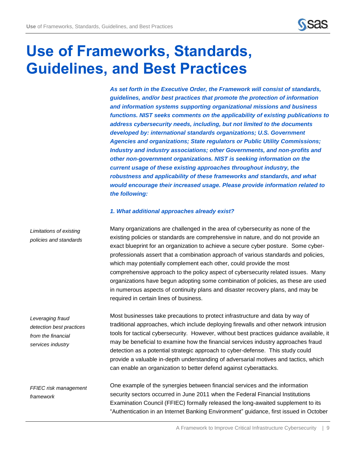

## <span id="page-10-0"></span>**Use of Frameworks, Standards, Guidelines, and Best Practices**

*As set forth in the Executive Order, the Framework will consist of standards, guidelines, and/or best practices that promote the protection of information and information systems supporting organizational missions and business functions. NIST seeks comments on the applicability of existing publications to address cybersecurity needs, including, but not limited to the documents developed by: international standards organizations; U.S. Government Agencies and organizations; State regulators or Public Utility Commissions; Industry and industry associations; other Governments, and non-profits and other non-government organizations. NIST is seeking information on the current usage of these existing approaches throughout industry, the robustness and applicability of these frameworks and standards, and what would encourage their increased usage. Please provide information related to the following:*

#### *1. What additional approaches already exist?*

Many organizations are challenged in the area of cybersecurity as none of the existing policies or standards are comprehensive in nature, and do not provide an exact blueprint for an organization to achieve a secure cyber posture. Some cyberprofessionals assert that a combination approach of various standards and policies, which may potentially complement each other, could provide the most comprehensive approach to the policy aspect of cybersecurity related issues. Many organizations have begun adopting some combination of policies, as these are used in numerous aspects of continuity plans and disaster recovery plans, and may be required in certain lines of business. *Limitations of existing policies and standards*

Most businesses take precautions to protect infrastructure and data by way of traditional approaches, which include deploying firewalls and other network intrusion tools for tactical cybersecurity. However, without best practices guidance available, it may be beneficial to examine how the financial services industry approaches fraud detection as a potential strategic approach to cyber-defense. This study could provide a valuable in-depth understanding of adversarial motives and tactics, which can enable an organization to better defend against cyberattacks. *Leveraging fraud detection best practices from the financial services industry*

One example of the synergies between financial services and the information security sectors occurred in June 2011 when the Federal Financial Institutions Examination Council (FFIEC) formally released the long-awaited supplement to its "Authentication in an Internet Banking Environment" guidance, first issued in October *FFIEC risk management framework*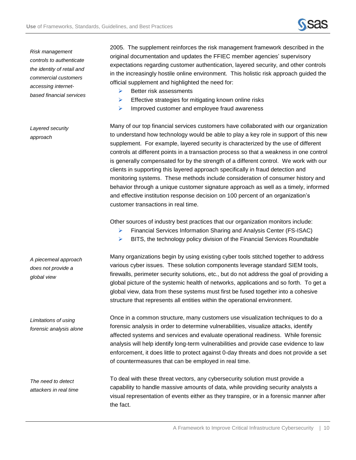

*Risk management controls to authenticate the identity of retail and commercial customers accessing internetbased financial services*

*Layered security* 

*approach*

2005. The supplement reinforces the risk management framework described in the original documentation and updates the FFIEC member agencies' supervisory expectations regarding customer authentication, layered security, and other controls in the increasingly hostile online environment. This holistic risk approach guided the official supplement and highlighted the need for:

- $\triangleright$  Better risk assessments
- $\triangleright$  Effective strategies for mitigating known online risks
- $\triangleright$  Improved customer and employee fraud awareness

Many of our top financial services customers have collaborated with our organization to understand how technology would be able to play a key role in support of this new supplement. For example, layered security is characterized by the use of different controls at different points in a transaction process so that a weakness in one control is generally compensated for by the strength of a different control. We work with our clients in supporting this layered approach specifically in fraud detection and monitoring systems. These methods include consideration of consumer history and behavior through a unique customer signature approach as well as a timely, informed and effective institution response decision on 100 percent of an organization's customer transactions in real time.

Other sources of industry best practices that our organization monitors include:

- **Financial Services Information Sharing and Analysis Center (FS-ISAC)**
- $\triangleright$  BITS, the technology policy division of the Financial Services Roundtable

Many organizations begin by using existing cyber tools stitched together to address various cyber issues. These solution components leverage standard SIEM tools, firewalls, perimeter security solutions, etc., but do not address the goal of providing a global picture of the systemic health of networks, applications and so forth. To get a global view, data from these systems must first be fused together into a cohesive structure that represents all entities within the operational environment.

Once in a common structure, many customers use visualization techniques to do a forensic analysis in order to determine vulnerabilities, visualize attacks, identify affected systems and services and evaluate operational readiness. While forensic analysis will help identify long-term vulnerabilities and provide case evidence to law enforcement, it does little to protect against 0-day threats and does not provide a set of countermeasures that can be employed in real time.

To deal with these threat vectors, any cybersecurity solution must provide a capability to handle massive amounts of data, while providing security analysts a visual representation of events either as they transpire, or in a forensic manner after the fact. *The need to detect* 

*A piecemeal approach does not provide a global view*

*Limitations of using forensic analysis alone*

*attackers in real time*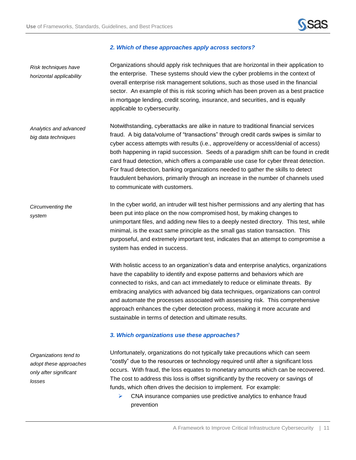

## *2. Which of these approaches apply across sectors?*

| Risk techniques have<br>horizontal applicability                                    | Organizations should apply risk techniques that are horizontal in their application to<br>the enterprise. These systems should view the cyber problems in the context of<br>overall enterprise risk management solutions, such as those used in the financial<br>sector. An example of this is risk scoring which has been proven as a best practice<br>in mortgage lending, credit scoring, insurance, and securities, and is equally<br>applicable to cybersecurity.                                                                                                                                                                                        |
|-------------------------------------------------------------------------------------|---------------------------------------------------------------------------------------------------------------------------------------------------------------------------------------------------------------------------------------------------------------------------------------------------------------------------------------------------------------------------------------------------------------------------------------------------------------------------------------------------------------------------------------------------------------------------------------------------------------------------------------------------------------|
| Analytics and advanced<br>big data techniques                                       | Notwithstanding, cyberattacks are alike in nature to traditional financial services<br>fraud. A big data/volume of "transactions" through credit cards swipes is similar to<br>cyber access attempts with results (i.e., approve/deny or access/denial of access)<br>both happening in rapid succession. Seeds of a paradigm shift can be found in credit<br>card fraud detection, which offers a comparable use case for cyber threat detection.<br>For fraud detection, banking organizations needed to gather the skills to detect<br>fraudulent behaviors, primarily through an increase in the number of channels used<br>to communicate with customers. |
| Circumventing the<br>system                                                         | In the cyber world, an intruder will test his/her permissions and any alerting that has<br>been put into place on the now compromised host, by making changes to<br>unimportant files, and adding new files to a deeply nested directory. This test, while<br>minimal, is the exact same principle as the small gas station transaction. This<br>purposeful, and extremely important test, indicates that an attempt to compromise a<br>system has ended in success.                                                                                                                                                                                          |
|                                                                                     | With holistic access to an organization's data and enterprise analytics, organizations<br>have the capability to identify and expose patterns and behaviors which are<br>connected to risks, and can act immediately to reduce or eliminate threats. By<br>embracing analytics with advanced big data techniques, organizations can control<br>and automate the processes associated with assessing risk. This comprehensive<br>approach enhances the cyber detection process, making it more accurate and<br>sustainable in terms of detection and ultimate results.                                                                                         |
|                                                                                     | 3. Which organizations use these approaches?                                                                                                                                                                                                                                                                                                                                                                                                                                                                                                                                                                                                                  |
| Organizations tend to<br>adopt these approaches<br>only after significant<br>losses | Unfortunately, organizations do not typically take precautions which can seem<br>"costly" due to the resources or technology required until after a significant loss<br>occurs. With fraud, the loss equates to monetary amounts which can be recovered.<br>The cost to address this loss is offset significantly by the recovery or savings of<br>funds, which often drives the decision to implement. For example:<br>CNA insurance companies use predictive analytics to enhance fraud<br>➤<br>prevention                                                                                                                                                  |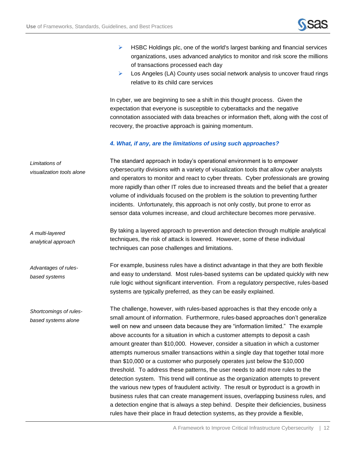*Advantages of rulesbased systems*

*Shortcomings of rulesbased systems alone*



- $\triangleright$  HSBC Holdings plc, one of the world's largest banking and financial services organizations, uses advanced analytics to monitor and risk score the millions of transactions processed each day
- $\triangleright$  Los Angeles (LA) County uses social network analysis to uncover fraud rings relative to its child care services

In cyber, we are beginning to see a shift in this thought process. Given the expectation that everyone is susceptible to cyberattacks and the negative connotation associated with data breaches or information theft, along with the cost of recovery, the proactive approach is gaining momentum.

#### *4. What, if any, are the limitations of using such approaches?*

The standard approach in today's operational environment is to empower cybersecurity divisions with a variety of visualization tools that allow cyber analysts and operators to monitor and react to cyber threats. Cyber professionals are growing more rapidly than other IT roles due to increased threats and the belief that a greater volume of individuals focused on the problem is the solution to preventing further incidents. Unfortunately, this approach is not only costly, but prone to error as sensor data volumes increase, and cloud architecture becomes more pervasive. *Limitations of visualization tools alone*

By taking a layered approach to prevention and detection through multiple analytical techniques, the risk of attack is lowered. However, some of these individual techniques can pose challenges and limitations. *A multi-layered analytical approach*

> For example, business rules have a distinct advantage in that they are both flexible and easy to understand. Most rules-based systems can be updated quickly with new rule logic without significant intervention. From a regulatory perspective, rules-based systems are typically preferred, as they can be easily explained.

> > The challenge, however, with rules-based approaches is that they encode only a small amount of information. Furthermore, rules-based approaches don't generalize well on new and unseen data because they are "information limited." The example above accounts for a situation in which a customer attempts to deposit a cash amount greater than \$10,000. However, consider a situation in which a customer attempts numerous smaller transactions within a single day that together total more than \$10,000 or a customer who purposely operates just below the \$10,000 threshold. To address these patterns, the user needs to add more rules to the detection system. This trend will continue as the organization attempts to prevent the various new types of fraudulent activity. The result or byproduct is a growth in business rules that can create management issues, overlapping business rules, and a detection engine that is always a step behind. Despite their deficiencies, business rules have their place in fraud detection systems, as they provide a flexible,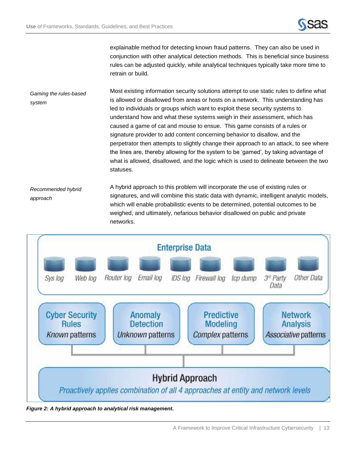

explainable method for detecting known fraud patterns. They can also be used in conjunction with other analytical detection methods. This is beneficial since business rules can be adjusted quickly, while analytical techniques typically take more time to retrain or build.

Most existing information security solutions attempt to use static rules to define what is allowed or disallowed from areas or hosts on a network. This understanding has led to individuals or groups which want to exploit these security systems to understand how and what these systems weigh in their assessment, which has caused a game of cat and mouse to ensue. This game consists of a rules or signature provider to add content concerning behavior to disallow, and the perpetrator then attempts to slightly change their approach to an attack, to see where the lines are, thereby allowing for the system to be 'gamed', by taking advantage of what is allowed, disallowed, and the logic which is used to delineate between the two statuses. *Gaming the rules-based system*

A hybrid approach to this problem will incorporate the use of existing rules or signatures, and will combine this static data with dynamic, intelligent analytic models, which will enable probabilistic events to be determined, potential outcomes to be weighed, and ultimately, nefarious behavior disallowed on public and private networks. *Recommended hybrid approach*



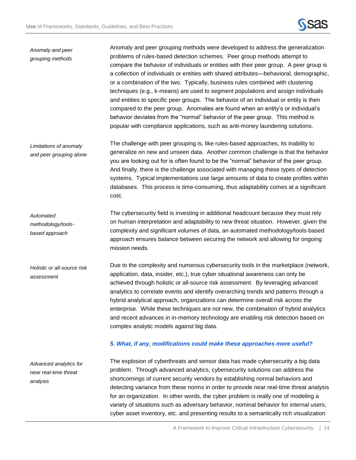

## Anomaly and peer grouping methods were developed to address the generalization problems of rules-based detection schemes. Peer group methods attempt to compare the behavior of individuals or entities with their peer group. A peer group is a collection of individuals or entities with shared attributes—behavioral, demographic, or a combination of the two. Typically, business rules combined with clustering techniques (e.g., k-means) are used to segment populations and assign individuals and entities to specific peer groups. The behavior of an individual or entity is then compared to the peer group. Anomalies are found when an entity's or individual's behavior deviates from the "normal" behavior of the peer group. This method is popular with compliance applications, such as anti-money laundering solutions. The challenge with peer grouping is, like rules-based approaches, its inability to generalize on new and unseen data. Another common challenge is that the behavior you are looking out for is often found to be the "normal" behavior of the peer group. And finally, there is the challenge associated with managing these types of detection systems. Typical implementations use large amounts of data to create profiles within databases. This process is time-consuming, thus adaptability comes at a significant cost. The cybersecurity field is investing in additional headcount because they must rely on human interpretation and adaptability to new threat situation. However, given the complexity and significant volumes of data, an automated methodology/tools-based approach ensures balance between securing the network and allowing for ongoing mission needs. Due to the complexity and numerous cybersecurity tools in the marketplace (network, application, data, insider, etc.), true cyber situational awareness can only be achieved through holistic or all-source risk assessment. By leveraging advanced analytics to correlate events and identify overarching trends and patterns through a hybrid analytical approach, organizations can determine overall risk across the enterprise. While these techniques are not new, the combination of hybrid analytics and recent advances in in-memory technology are enabling risk detection based on complex analytic models against big data. *5. What, if any, modifications could make these approaches more useful?* The explosion of cyberthreats and sensor data has made cybersecurity a big data problem. Through advanced analytics, cybersecurity solutions can address the shortcomings of current security vendors by establishing normal behaviors and detecting variance from these norms in order to provide near real-time threat analysis for an organization. In other words, the cyber problem is really one of modeling a variety of situations such as adversary behavior, nominal behavior for internal users, *Automated methodology/toolsbased approach Holistic or all-source risk assessment Advanced analytics for near real-time threat analysis Anomaly and peer grouping methods Limitations of anomaly and peer grouping alone*

cyber asset inventory, etc. and presenting results to a semantically rich visualization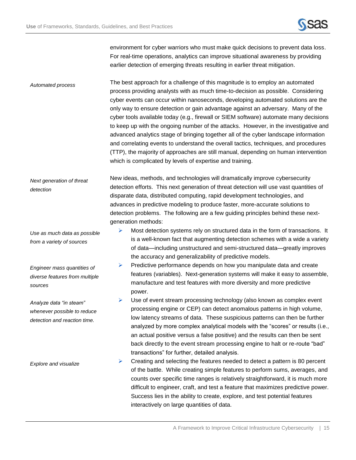

environment for cyber warriors who must make quick decisions to prevent data loss. For real-time operations, analytics can improve situational awareness by providing earlier detection of emerging threats resulting in earlier threat mitigation.

The best approach for a challenge of this magnitude is to employ an automated process providing analysts with as much time-to-decision as possible. Considering cyber events can occur within nanoseconds, developing automated solutions are the only way to ensure detection or gain advantage against an adversary. Many of the cyber tools available today (e.g., firewall or SIEM software) automate many decisions to keep up with the ongoing number of the attacks. However, in the investigative and advanced analytics stage of bringing together all of the cyber landscape information and correlating events to understand the overall tactics, techniques, and procedures (TTP), the majority of approaches are still manual, depending on human intervention which is complicated by levels of expertise and training. *Automated process*

New ideas, methods, and technologies will dramatically improve cybersecurity detection efforts. This next generation of threat detection will use vast quantities of disparate data, distributed computing, rapid development technologies, and advances in predictive modeling to produce faster, more-accurate solutions to detection problems. The following are a few guiding principles behind these nextgeneration methods: *Next generation of threat detection*

- $\triangleright$  Most detection systems rely on structured data in the form of transactions. It is a well-known fact that augmenting detection schemes with a wide a variety of data—including unstructured and semi-structured data—greatly improves the accuracy and generalizability of predictive models.
- $\triangleright$  Predictive performance depends on how you manipulate data and create features (variables). Next-generation systems will make it easy to assemble, manufacture and test features with more diversity and more predictive power.
- $\triangleright$  Use of event stream processing technology (also known as complex event processing engine or CEP) can detect anomalous patterns in high volume, low latency streams of data. These suspicious patterns can then be further analyzed by more complex analytical models with the "scores" or results (i.e., an actual positive versus a false positive) and the results can then be sent back directly to the event stream processing engine to halt or re-route "bad" transactions" for further, detailed analysis.
- $\triangleright$  Creating and selecting the features needed to detect a pattern is 80 percent of the battle. While creating simple features to perform sums, averages, and counts over specific time ranges is relatively straightforward, it is much more difficult to engineer, craft, and test a feature that maximizes predictive power. Success lies in the ability to create, explore, and test potential features interactively on large quantities of data.

*Use as much data as possible from a variety of sources*

*Engineer mass quantities of diverse features from multiple sources*

*Analyze data "in steam" whenever possible to reduce detection and reaction time.* 

*Explore and visualize*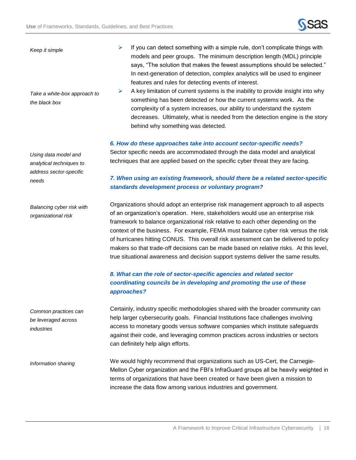

| Keep it simple<br>Take a white-box approach to<br>the black box                      | If you can detect something with a simple rule, don't complicate things with<br>➤<br>models and peer groups. The minimum description length (MDL) principle<br>says, "The solution that makes the fewest assumptions should be selected."<br>In next-generation of detection, complex analytics will be used to engineer<br>features and rules for detecting events of interest.<br>A key limitation of current systems is the inability to provide insight into why<br>➤<br>something has been detected or how the current systems work. As the<br>complexity of a system increases, our ability to understand the system<br>decreases. Ultimately, what is needed from the detection engine is the story<br>behind why something was detected. |
|--------------------------------------------------------------------------------------|--------------------------------------------------------------------------------------------------------------------------------------------------------------------------------------------------------------------------------------------------------------------------------------------------------------------------------------------------------------------------------------------------------------------------------------------------------------------------------------------------------------------------------------------------------------------------------------------------------------------------------------------------------------------------------------------------------------------------------------------------|
| Using data model and<br>analytical techniques to<br>address sector-specific<br>needs | 6. How do these approaches take into account sector-specific needs?<br>Sector specific needs are accommodated through the data model and analytical<br>techniques that are applied based on the specific cyber threat they are facing.<br>7. When using an existing framework, should there be a related sector-specific<br>standards development process or voluntary program?                                                                                                                                                                                                                                                                                                                                                                  |
| Balancing cyber risk with<br>organizational risk                                     | Organizations should adopt an enterprise risk management approach to all aspects<br>of an organization's operation. Here, stakeholders would use an enterprise risk<br>framework to balance organizational risk relative to each other depending on the<br>context of the business. For example, FEMA must balance cyber risk versus the risk<br>of hurricanes hitting CONUS. This overall risk assessment can be delivered to policy<br>makers so that trade-off decisions can be made based on relative risks. At this level,<br>true situational awareness and decision support systems deliver the same results.<br>8. What can the role of sector-specific agencies and related sector                                                      |
|                                                                                      | coordinating councils be in developing and promoting the use of these<br>approaches?                                                                                                                                                                                                                                                                                                                                                                                                                                                                                                                                                                                                                                                             |
| Common practices can<br>be leveraged across<br>industries                            | Certainly, industry specific methodologies shared with the broader community can<br>help larger cybersecurity goals. Financial Institutions face challenges involving<br>access to monetary goods versus software companies which institute safeguards<br>against their code, and leveraging common practices across industries or sectors<br>can definitely help align efforts.                                                                                                                                                                                                                                                                                                                                                                 |
| Information sharing                                                                  | We would highly recommend that organizations such as US-Cert, the Carnegie-<br>Mellon Cyber organization and the FBI's InfraGuard groups all be heavily weighted in<br>terms of organizations that have been created or have been given a mission to<br>increase the data flow among various industries and government.                                                                                                                                                                                                                                                                                                                                                                                                                          |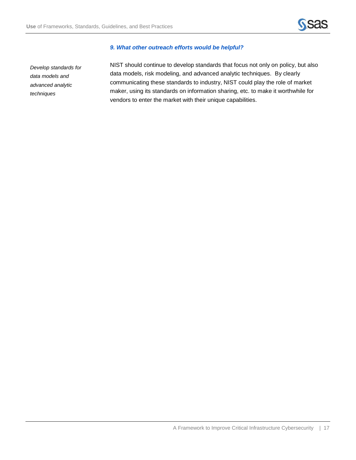

#### *9. What other outreach efforts would be helpful?*

*Develop standards for data models and advanced analytic techniques*

NIST should continue to develop standards that focus not only on policy, but also data models, risk modeling, and advanced analytic techniques. By clearly communicating these standards to industry, NIST could play the role of market maker, using its standards on information sharing, etc. to make it worthwhile for vendors to enter the market with their unique capabilities.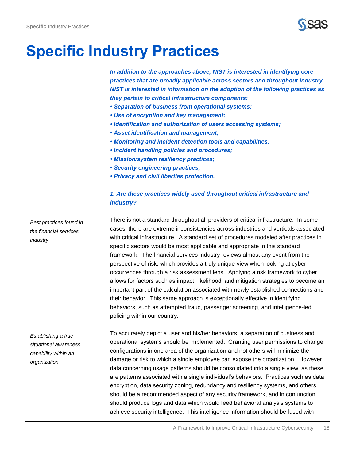

## <span id="page-19-0"></span>**Specific Industry Practices**

*In addition to the approaches above, NIST is interested in identifying core practices that are broadly applicable across sectors and throughout industry. NIST is interested in information on the adoption of the following practices as they pertain to critical infrastructure components:*

- *Separation of business from operational systems;*
- *Use of encryption and key management;*
- *Identification and authorization of users accessing systems;*
- *Asset identification and management;*
- *Monitoring and incident detection tools and capabilities;*
- *Incident handling policies and procedures;*
- *Mission/system resiliency practices;*
- *Security engineering practices;*
- *Privacy and civil liberties protection.*

## *1. Are these practices widely used throughout critical infrastructure and industry?*

*Best practices found in the financial services industry*

There is not a standard throughout all providers of critical infrastructure. In some cases, there are extreme inconsistencies across industries and verticals associated with critical infrastructure. A standard set of procedures modeled after practices in specific sectors would be most applicable and appropriate in this standard framework. The financial services industry reviews almost any event from the perspective of risk, which provides a truly unique view when looking at cyber occurrences through a risk assessment lens. Applying a risk framework to cyber allows for factors such as impact, likelihood, and mitigation strategies to become an important part of the calculation associated with newly established connections and their behavior. This same approach is exceptionally effective in identifying behaviors, such as attempted fraud, passenger screening, and intelligence-led policing within our country.

*Establishing a true situational awareness capability within an organization*

To accurately depict a user and his/her behaviors, a separation of business and operational systems should be implemented. Granting user permissions to change configurations in one area of the organization and not others will minimize the damage or risk to which a single employee can expose the organization. However, data concerning usage patterns should be consolidated into a single view, as these are patterns associated with a single individual's behaviors. Practices such as data encryption, data security zoning, redundancy and resiliency systems, and others should be a recommended aspect of any security framework, and in conjunction, should produce logs and data which would feed behavioral analysis systems to achieve security intelligence. This intelligence information should be fused with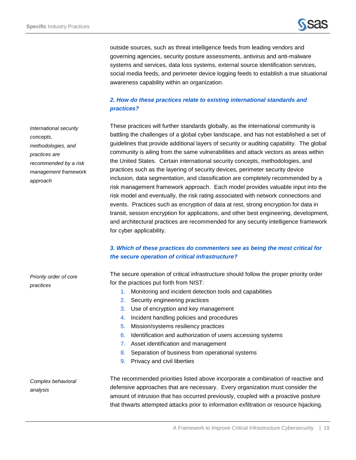

outside sources, such as threat intelligence feeds from leading vendors and governing agencies, security posture assessments, antivirus and anti-malware systems and services, data loss systems, external source identification services, social media feeds, and perimeter device logging feeds to establish a true situational awareness capability within an organization.

## *2. How do these practices relate to existing international standards and practices?*

These practices will further standards globally, as the international community is battling the challenges of a global cyber landscape, and has not established a set of guidelines that provide additional layers of security or auditing capability. The global community is ailing from the same vulnerabilities and attack vectors as areas within the United States. Certain international security concepts, methodologies, and practices such as the layering of security devices, perimeter security device inclusion, data segmentation, and classification are completely recommended by a risk management framework approach. Each model provides valuable input into the risk model and eventually, the risk rating associated with network connections and events. Practices such as encryption of data at rest, strong encryption for data in transit, session encryption for applications, and other best engineering, development, and architectural practices are recommended for any security intelligence framework for cyber applicability.

## *3. Which of these practices do commenters see as being the most critical for the secure operation of critical infrastructure?*

The secure operation of critical infrastructure should follow the proper priority order for the practices put forth from NIST:

- 1. Monitoring and incident detection tools and capabilities
- 2. Security engineering practices
- 4. Incident handling policies and procedures
- 5. Mission/systems resiliency practices
- 6. Identification and authorization of users accessing systems
- 7. Asset identification and management
- 8. Separation of business from operational systems
- 9. Privacy and civil liberties

*Complex behavioral analysis* 

*Priority order of core* 

*practices*

The recommended priorities listed above incorporate a combination of reactive and defensive approaches that are necessary. Every organization must consider the amount of intrusion that has occurred previously, coupled with a proactive posture that thwarts attempted attacks prior to information exfiltration or resource hijacking.

3. Use of encryption and key management

*International security concepts, methodologies, and practices are recommended by a risk management framework approach*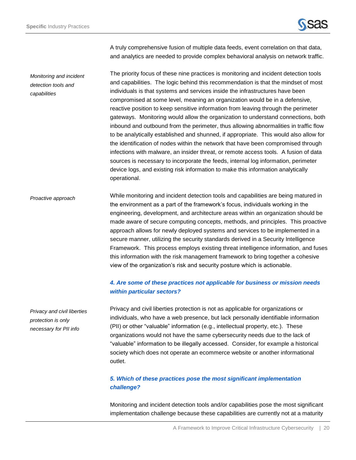*detection tools and* 

*capabilities*



A truly comprehensive fusion of multiple data feeds, event correlation on that data, and analytics are needed to provide complex behavioral analysis on network traffic.

The priority focus of these nine practices is monitoring and incident detection tools and capabilities. The logic behind this recommendation is that the mindset of most individuals is that systems and services inside the infrastructures have been compromised at some level, meaning an organization would be in a defensive, reactive position to keep sensitive information from leaving through the perimeter gateways. Monitoring would allow the organization to understand connections, both inbound and outbound from the perimeter, thus allowing abnormalities in traffic flow to be analytically established and shunned, if appropriate. This would also allow for the identification of nodes within the network that have been compromised through infections with malware, an insider threat, or remote access tools. A fusion of data sources is necessary to incorporate the feeds, internal log information, perimeter device logs, and existing risk information to make this information analytically operational. *Monitoring and incident* 

While monitoring and incident detection tools and capabilities are being matured in the environment as a part of the framework's focus, individuals working in the engineering, development, and architecture areas within an organization should be made aware of secure computing concepts, methods, and principles. This proactive approach allows for newly deployed systems and services to be implemented in a secure manner, utilizing the security standards derived in a Security Intelligence Framework. This process employs existing threat intelligence information, and fuses this information with the risk management framework to bring together a cohesive view of the organization's risk and security posture which is actionable. *Proactive approach*

### *4. Are some of these practices not applicable for business or mission needs within particular sectors?*

*Privacy and civil liberties protection is only necessary for PII info*

Privacy and civil liberties protection is not as applicable for organizations or individuals, who have a web presence, but lack personally identifiable information (PII) or other "valuable" information (e.g., intellectual property, etc.). These organizations would not have the same cybersecurity needs due to the lack of "valuable" information to be illegally accessed. Consider, for example a historical society which does not operate an ecommerce website or another informational outlet.

## *5. Which of these practices pose the most significant implementation challenge?*

Monitoring and incident detection tools and/or capabilities pose the most significant implementation challenge because these capabilities are currently not at a maturity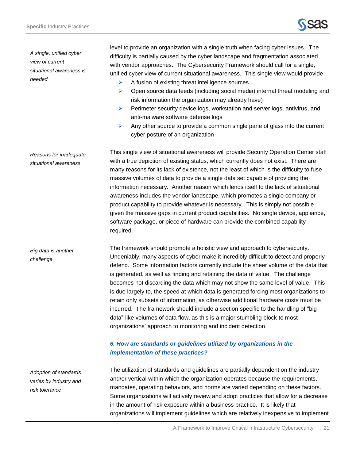

*A single, unified cyber view of current situational awareness is needed*

*Reasons for inadequate situational awareness*

*challenge*

level to provide an organization with a single truth when facing cyber issues. The difficulty is partially caused by the cyber landscape and fragmentation associated with vendor approaches. The Cybersecurity Framework should call for a single, unified cyber view of current situational awareness. This single view would provide:

- $\triangleright$  A fusion of existing threat intelligence sources
- $\triangleright$  Open source data feeds (including social media) internal threat modeling and risk information the organization may already have)
- $\triangleright$  Perimeter security device logs, workstation and server logs, antivirus, and anti-malware software defense logs
- Any other source to provide a common single pane of glass into the current cyber posture of an organization

This single view of situational awareness will provide Security Operation Center staff with a true depiction of existing status, which currently does not exist. There are many reasons for its lack of existence, not the least of which is the difficulty to fuse massive volumes of data to provide a single data set capable of providing the information necessary. Another reason which lends itself to the lack of situational awareness includes the vendor landscape, which promotes a single company or product capability to provide whatever is necessary. This is simply not possible given the massive gaps in current product capabilities. No single device, appliance, software package, or piece of hardware can provide the combined capability required.

The framework should promote a holistic view and approach to cybersecurity. Undeniably, many aspects of cyber make it incredibly difficult to detect and properly defend. Some information factors currently include the sheer volume of the data that is generated, as well as finding and retaining the data of value. The challenge becomes not discarding the data which may not show the same level of value. This is due largely to, the speed at which data is generated forcing most organizations to retain only subsets of information, as otherwise additional hardware costs must be incurred. The framework should include a section specific to the handling of "big data"-like volumes of data flow, as this is a major stumbling block to most organizations' approach to monitoring and incident detection. *Big data is another* 

## *6. How are standards or guidelines utilized by organizations in the implementation of these practices?*

The utilization of standards and guidelines are partially dependent on the industry and/or vertical within which the organization operates because the requirements, mandates, operating behaviors, and norms are varied depending on these factors. Some organizations will actively review and adopt practices that allow for a decrease in the amount of risk exposure within a business practice. It is likely that organizations will implement guidelines which are relatively inexpensive to implement

*Adoption of standards varies by industry and risk tolerance*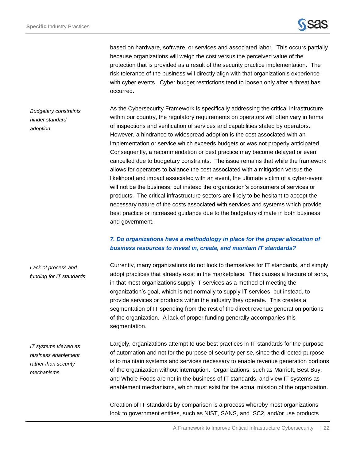*adoption*

based on hardware, software, or services and associated labor. This occurs partially because organizations will weigh the cost versus the perceived value of the protection that is provided as a result of the security practice implementation. The risk tolerance of the business will directly align with that organization's experience with cyber events. Cyber budget restrictions tend to loosen only after a threat has occurred.

As the Cybersecurity Framework is specifically addressing the critical infrastructure within our country, the regulatory requirements on operators will often vary in terms of inspections and verification of services and capabilities stated by operators. However, a hindrance to widespread adoption is the cost associated with an implementation or service which exceeds budgets or was not properly anticipated. Consequently, a recommendation or best practice may become delayed or even cancelled due to budgetary constraints. The issue remains that while the framework allows for operators to balance the cost associated with a mitigation versus the likelihood and impact associated with an event, the ultimate victim of a cyber-event will not be the business, but instead the organization's consumers of services or products. The critical infrastructure sectors are likely to be hesitant to accept the necessary nature of the costs associated with services and systems which provide best practice or increased guidance due to the budgetary climate in both business and government. *Budgetary constraints hinder standard* 

## *7. Do organizations have a methodology in place for the proper allocation of business resources to invest in, create, and maintain IT standards?*

Currently, many organizations do not look to themselves for IT standards, and simply adopt practices that already exist in the marketplace. This causes a fracture of sorts, in that most organizations supply IT services as a method of meeting the organization's goal, which is not normally to supply IT services, but instead, to provide services or products within the industry they operate. This creates a segmentation of IT spending from the rest of the direct revenue generation portions of the organization. A lack of proper funding generally accompanies this segmentation. *Lack of process and funding for IT standards*

*IT systems viewed as business enablement rather than security mechanisms*

Largely, organizations attempt to use best practices in IT standards for the purpose of automation and not for the purpose of security per se, since the directed purpose is to maintain systems and services necessary to enable revenue generation portions of the organization without interruption. Organizations, such as Marriott, Best Buy, and Whole Foods are not in the business of IT standards, and view IT systems as enablement mechanisms, which must exist for the actual mission of the organization.

Creation of IT standards by comparison is a process whereby most organizations look to government entities, such as NIST, SANS, and ISC2, and/or use products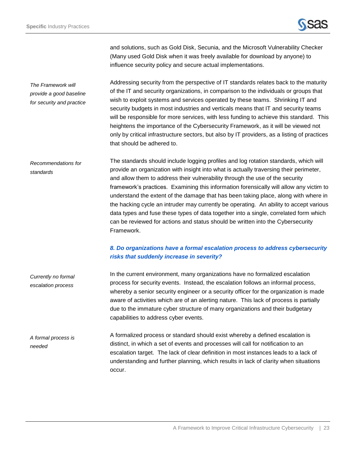

and solutions, such as Gold Disk, Secunia, and the Microsoft Vulnerability Checker (Many used Gold Disk when it was freely available for download by anyone) to influence security policy and secure actual implementations.

Addressing security from the perspective of IT standards relates back to the maturity of the IT and security organizations, in comparison to the individuals or groups that wish to exploit systems and services operated by these teams. Shrinking IT and security budgets in most industries and verticals means that IT and security teams will be responsible for more services, with less funding to achieve this standard. This heightens the importance of the Cybersecurity Framework, as it will be viewed not only by critical infrastructure sectors, but also by IT providers, as a listing of practices that should be adhered to. *The Framework will provide a good baseline for security and practice*

The standards should include logging profiles and log rotation standards, which will provide an organization with insight into what is actually traversing their perimeter, and allow them to address their vulnerability through the use of the security framework's practices. Examining this information forensically will allow any victim to understand the extent of the damage that has been taking place, along with where in the hacking cycle an intruder may currently be operating. An ability to accept various data types and fuse these types of data together into a single, correlated form which can be reviewed for actions and status should be written into the Cybersecurity Framework. *Recommendations for standards*

## *8. Do organizations have a formal escalation process to address cybersecurity risks that suddenly increase in severity?*

In the current environment, many organizations have no formalized escalation process for security events. Instead, the escalation follows an informal process, whereby a senior security engineer or a security officer for the organization is made aware of activities which are of an alerting nature. This lack of process is partially due to the immature cyber structure of many organizations and their budgetary capabilities to address cyber events. *Currently no formal escalation process*

A formalized process or standard should exist whereby a defined escalation is distinct, in which a set of events and processes will call for notification to an escalation target. The lack of clear definition in most instances leads to a lack of understanding and further planning, which results in lack of clarity when situations occur. *A formal process is needed*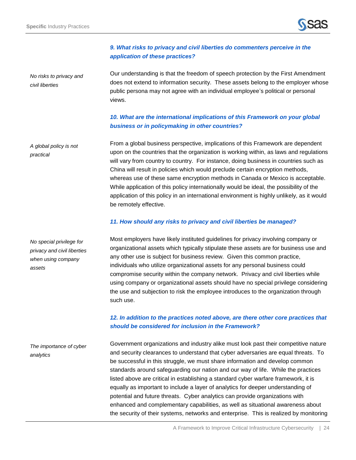

## *9. What risks to privacy and civil liberties do commenters perceive in the application of these practices?*

*No risks to privacy and civil liberties*

Our understanding is that the freedom of speech protection by the First Amendment does not extend to information security. These assets belong to the employer whose public persona may not agree with an individual employee's political or personal views.

## *10. What are the international implications of this Framework on your global business or in policymaking in other countries?*

From a global business perspective, implications of this Framework are dependent upon on the countries that the organization is working within, as laws and regulations will vary from country to country. For instance, doing business in countries such as China will result in policies which would preclude certain encryption methods, whereas use of these same encryption methods in Canada or Mexico is acceptable. While application of this policy internationally would be ideal, the possibility of the application of this policy in an international environment is highly unlikely, as it would be remotely effective. *A global policy is not practical*

#### *11. How should any risks to privacy and civil liberties be managed?*

Most employers have likely instituted guidelines for privacy involving company or organizational assets which typically stipulate these assets are for business use and any other use is subject for business review. Given this common practice, individuals who utilize organizational assets for any personal business could compromise security within the company network. Privacy and civil liberties while using company or organizational assets should have no special privilege considering the use and subjection to risk the employee introduces to the organization through such use.

## *12. In addition to the practices noted above, are there other core practices that should be considered for inclusion in the Framework?*

Government organizations and industry alike must look past their competitive nature and security clearances to understand that cyber adversaries are equal threats. To be successful in this struggle, we must share information and develop common standards around safeguarding our nation and our way of life. While the practices listed above are critical in establishing a standard cyber warfare framework, it is equally as important to include a layer of analytics for deeper understanding of potential and future threats. Cyber analytics can provide organizations with enhanced and complementary capabilities, as well as situational awareness about the security of their systems, networks and enterprise. This is realized by monitoring *The importance of cyber analytics*

*No special privilege for privacy and civil liberties when using company assets*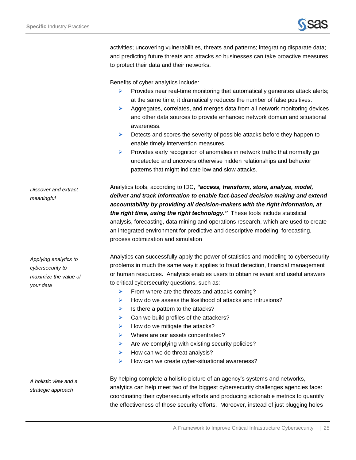

activities; uncovering vulnerabilities, threats and patterns; integrating disparate data; and predicting future threats and attacks so businesses can take proactive measures to protect their data and their networks.

Benefits of cyber analytics include:

- $\triangleright$  Provides near real-time monitoring that automatically generates attack alerts; at the same time, it dramatically reduces the number of false positives.
- $\triangleright$  Aggregates, correlates, and merges data from all network monitoring devices and other data sources to provide enhanced network domain and situational awareness.
- $\triangleright$  Detects and scores the severity of possible attacks before they happen to enable timely intervention measures.
- $\triangleright$  Provides early recognition of anomalies in network traffic that normally go undetected and uncovers otherwise hidden relationships and behavior patterns that might indicate low and slow attacks.

Analytics tools, according to IDC*, "access, transform, store, analyze, model, deliver and track information to enable fact-based decision making and extend accountability by providing all decision-makers with the right information, at the right time, using the right technology."* These tools include statistical analysis, forecasting, data mining and operations research, which are used to create an integrated environment for predictive and descriptive modeling, forecasting, process optimization and simulation *Discover and extract meaningful*

> Analytics can successfully apply the power of statistics and modeling to cybersecurity problems in much the same way it applies to fraud detection, financial management or human resources. Analytics enables users to obtain relevant and useful answers to critical cybersecurity questions, such as:

- $\triangleright$  From where are the threats and attacks coming?
- $\triangleright$  How do we assess the likelihood of attacks and intrusions?
- $\triangleright$  Is there a pattern to the attacks?
- $\triangleright$  Can we build profiles of the attackers?
- $\blacktriangleright$  How do we mitigate the attacks?
- $\triangleright$  Where are our assets concentrated?
- $\triangleright$  Are we complying with existing security policies?
- $\blacktriangleright$  How can we do threat analysis?
- $\triangleright$  How can we create cyber-situational awareness?

*A holistic view and a strategic approach*

By helping complete a holistic picture of an agency's systems and networks, analytics can help meet two of the biggest cybersecurity challenges agencies face: coordinating their cybersecurity efforts and producing actionable metrics to quantify the effectiveness of those security efforts. Moreover, instead of just plugging holes

*Applying analytics to cybersecurity to maximize the value of your data*